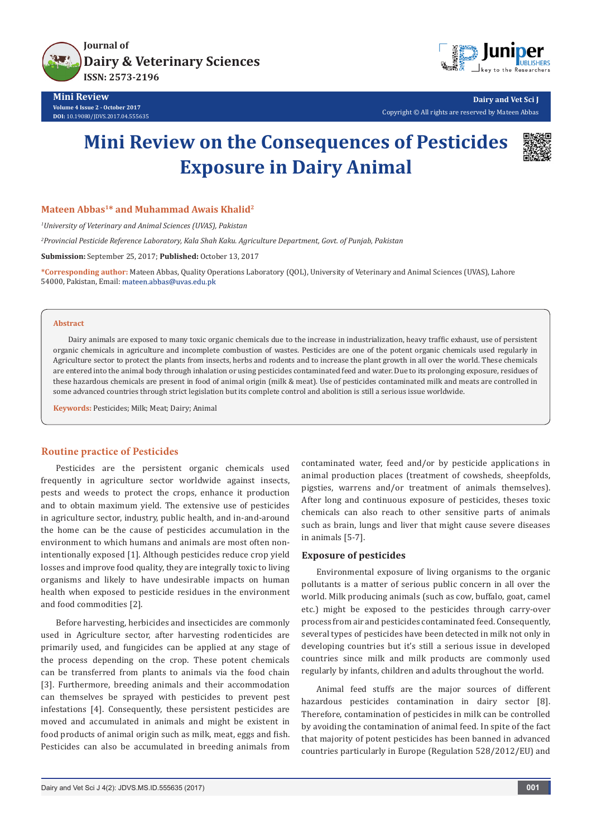

**Mini Review Volume 4 Issue 2 - October 2017 DOI:** [10.19080/JDVS.2017.04.555635](http://dx.doi.org/10.19080/jdvs.2017.04.555635)



**Dairy and Vet Sci J** Copyright © All rights are reserved by Mateen Abbas

# **Mini Review on the Consequences of Pesticides Exposure in Dairy Animal**



## **Mateen Abbas1\* and Muhammad Awais Khalid2**

*1 University of Veterinary and Animal Sciences (UVAS), Pakistan*

*2 Provincial Pesticide Reference Laboratory, Kala Shah Kaku. Agriculture Department, Govt. of Punjab, Pakistan*

**Submission:** September 25, 2017; **Published:** October 13, 2017

**\*Corresponding author:** Mateen Abbas, Quality Operations Laboratory (QOL), University of Veterinary and Animal Sciences (UVAS), Lahore 54000, Pakistan, Email: mateen.abbas@uvas.edu.pk

## **Abstract**

Dairy animals are exposed to many toxic organic chemicals due to the increase in industrialization, heavy traffic exhaust, use of persistent organic chemicals in agriculture and incomplete combustion of wastes. Pesticides are one of the potent organic chemicals used regularly in Agriculture sector to protect the plants from insects, herbs and rodents and to increase the plant growth in all over the world. These chemicals are entered into the animal body through inhalation or using pesticides contaminated feed and water. Due to its prolonging exposure, residues of these hazardous chemicals are present in food of animal origin (milk & meat). Use of pesticides contaminated milk and meats are controlled in some advanced countries through strict legislation but its complete control and abolition is still a serious issue worldwide.

**Keywords:** Pesticides; Milk; Meat; Dairy; Animal

#### **Routine practice of Pesticides**

Pesticides are the persistent organic chemicals used frequently in agriculture sector worldwide against insects, pests and weeds to protect the crops, enhance it production and to obtain maximum yield. The extensive use of pesticides in agriculture sector, industry, public health, and in-and-around the home can be the cause of pesticides accumulation in the environment to which humans and animals are most often nonintentionally exposed [1]. Although pesticides reduce crop yield losses and improve food quality, they are integrally toxic to living organisms and likely to have undesirable impacts on human health when exposed to pesticide residues in the environment and food commodities [2].

Before harvesting, herbicides and insecticides are commonly used in Agriculture sector, after harvesting rodenticides are primarily used, and fungicides can be applied at any stage of the process depending on the crop. These potent chemicals can be transferred from plants to animals via the food chain [3]. Furthermore, breeding animals and their accommodation can themselves be sprayed with pesticides to prevent pest infestations [4]. Consequently, these persistent pesticides are moved and accumulated in animals and might be existent in food products of animal origin such as milk, meat, eggs and fish. Pesticides can also be accumulated in breeding animals from

contaminated water, feed and/or by pesticide applications in animal production places (treatment of cowsheds, sheepfolds, pigsties, warrens and/or treatment of animals themselves). After long and continuous exposure of pesticides, theses toxic chemicals can also reach to other sensitive parts of animals such as brain, lungs and liver that might cause severe diseases in animals [5-7].

#### **Exposure of pesticides**

Environmental exposure of living organisms to the organic pollutants is a matter of serious public concern in all over the world. Milk producing animals (such as cow, buffalo, goat, camel etc.) might be exposed to the pesticides through carry-over process from air and pesticides contaminated feed. Consequently, several types of pesticides have been detected in milk not only in developing countries but it's still a serious issue in developed countries since milk and milk products are commonly used regularly by infants, children and adults throughout the world.

Animal feed stuffs are the major sources of different hazardous pesticides contamination in dairy sector [8]. Therefore, contamination of pesticides in milk can be controlled by avoiding the contamination of animal feed. In spite of the fact that majority of potent pesticides has been banned in advanced countries particularly in Europe (Regulation 528/2012/EU) and